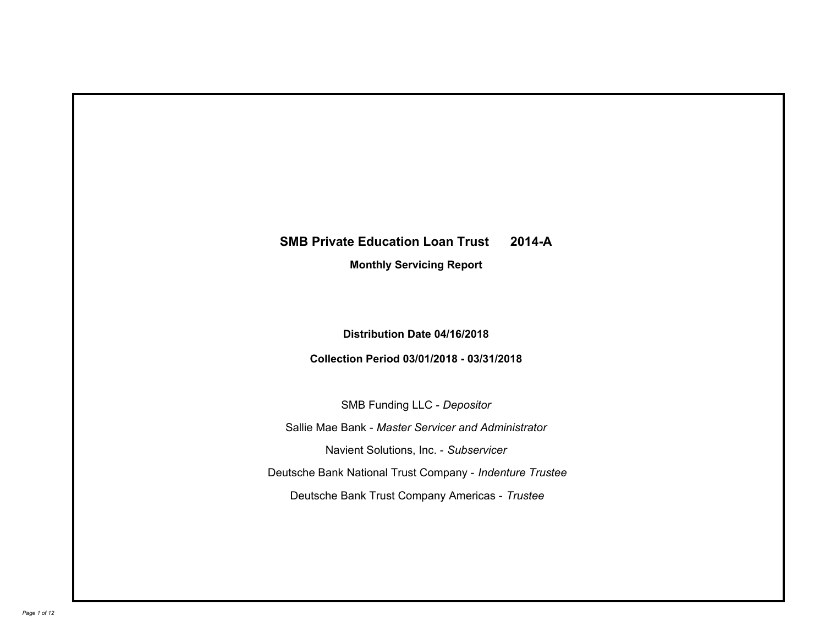# **SMB Private Education Loan Trust 2014-A**

**Monthly Servicing Report**

**Distribution Date 04/16/2018**

**Collection Period 03/01/2018 - 03/31/2018**

SMB Funding LLC - *Depositor* Sallie Mae Bank - *Master Servicer and Administrator* Deutsche Bank National Trust Company - *Indenture Trustee* Deutsche Bank Trust Company Americas - *Trustee* Navient Solutions, Inc. - *Subservicer*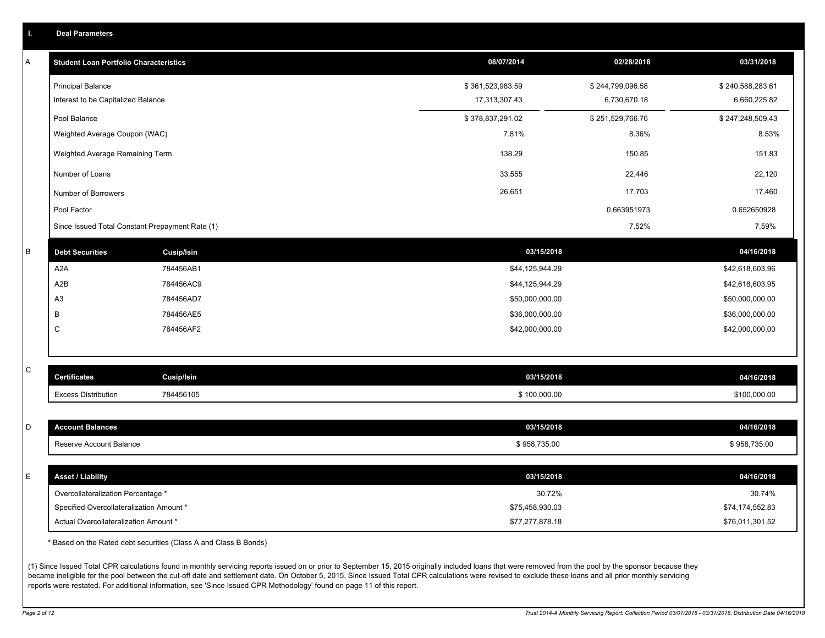| Т. | <b>Deal Parameters</b>                                                            |                                                                  |                                    |                  |                                    |
|----|-----------------------------------------------------------------------------------|------------------------------------------------------------------|------------------------------------|------------------|------------------------------------|
| А  | <b>Student Loan Portfolio Characteristics</b>                                     |                                                                  | 08/07/2014                         | 02/28/2018       | 03/31/2018                         |
|    | <b>Principal Balance</b>                                                          |                                                                  | \$361,523,983.59                   | \$244,799,096.58 | \$240,588,283.61                   |
|    | Interest to be Capitalized Balance                                                |                                                                  | 17,313,307.43                      | 6,730,670.18     | 6,660,225.82                       |
|    | Pool Balance                                                                      |                                                                  | \$378,837,291.02                   | \$251,529,766.76 | \$247,248,509.43                   |
|    | Weighted Average Coupon (WAC)                                                     |                                                                  | 7.81%                              | 8.36%            | 8.53%                              |
|    | Weighted Average Remaining Term                                                   |                                                                  | 138.29                             | 150.85           | 151.83                             |
|    | Number of Loans                                                                   |                                                                  | 33,555                             | 22,446           | 22,120                             |
|    | Number of Borrowers                                                               |                                                                  | 26,651                             | 17,703           | 17,460                             |
|    | Pool Factor                                                                       |                                                                  |                                    | 0.663951973      | 0.652650928                        |
|    | Since Issued Total Constant Prepayment Rate (1)                                   |                                                                  |                                    | 7.52%            | 7.59%                              |
| B  | <b>Debt Securities</b>                                                            | <b>Cusip/Isin</b>                                                | 03/15/2018                         |                  | 04/16/2018                         |
|    | A <sub>2</sub> A                                                                  | 784456AB1                                                        | \$44,125,944.29                    |                  | \$42,618,603.96                    |
|    | A <sub>2</sub> B                                                                  | 784456AC9                                                        | \$44,125,944.29                    |                  | \$42,618,603.95                    |
|    | A <sub>3</sub>                                                                    | 784456AD7                                                        | \$50,000,000.00                    |                  | \$50,000,000.00                    |
|    | B                                                                                 | 784456AE5                                                        | \$36,000,000.00                    |                  | \$36,000,000.00                    |
|    | C                                                                                 | 784456AF2                                                        | \$42,000,000.00                    |                  | \$42,000,000.00                    |
|    |                                                                                   |                                                                  |                                    |                  |                                    |
| С  | <b>Certificates</b>                                                               | <b>Cusip/Isin</b>                                                | 03/15/2018                         |                  | 04/16/2018                         |
|    | <b>Excess Distribution</b>                                                        | 784456105                                                        | \$100,000.00                       |                  | \$100,000.00                       |
|    |                                                                                   |                                                                  |                                    |                  |                                    |
| D  | <b>Account Balances</b>                                                           |                                                                  | 03/15/2018                         |                  | 04/16/2018                         |
|    | Reserve Account Balance                                                           |                                                                  | \$958,735.00                       |                  | \$958,735.00                       |
|    |                                                                                   |                                                                  |                                    |                  |                                    |
| E  | <b>Asset / Liability</b>                                                          |                                                                  | 03/15/2018                         |                  | 04/16/2018                         |
|    | Overcollateralization Percentage *                                                |                                                                  | 30.72%                             |                  | 30.74%                             |
|    | Specified Overcollateralization Amount *<br>Actual Overcollateralization Amount * |                                                                  | \$75,458,930.03<br>\$77,277,878.18 |                  | \$74,174,552.83<br>\$76,011,301.52 |
|    |                                                                                   |                                                                  |                                    |                  |                                    |
|    |                                                                                   | * Based on the Rated debt securities (Class A and Class B Bonds) |                                    |                  |                                    |

(1) Since Issued Total CPR calculations found in monthly servicing reports issued on or prior to September 15, 2015 originally included loans that were removed from the pool by the sponsor because they became ineligible for the pool between the cut-off date and settlement date. On October 5, 2015, Since Issued Total CPR calculations were revised to exclude these loans and all prior monthly servicing reports were restated. For additional information, see 'Since Issued CPR Methodology' found on page 11 of this report.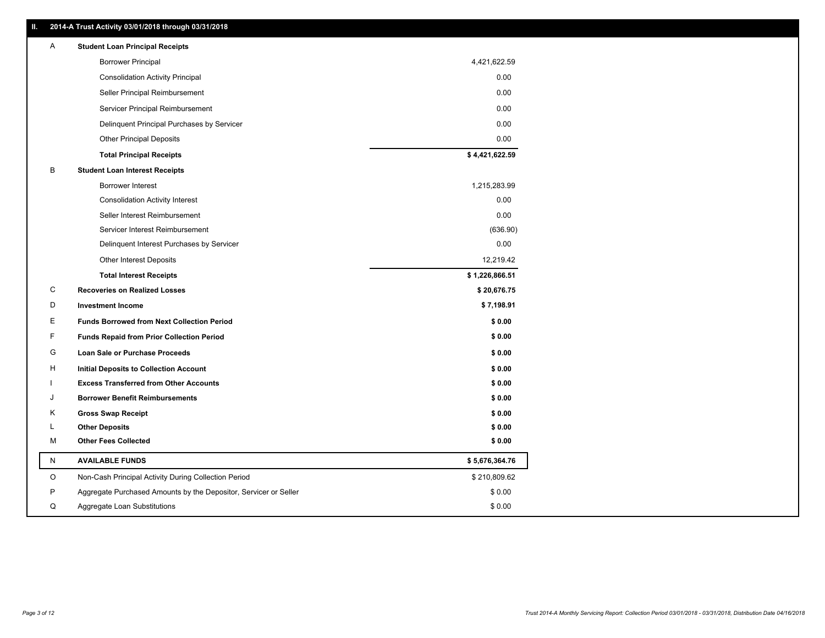|         | 2014-A Trust Activity 03/01/2018 through 03/31/2018              |                |
|---------|------------------------------------------------------------------|----------------|
| Α       | <b>Student Loan Principal Receipts</b>                           |                |
|         | <b>Borrower Principal</b>                                        | 4,421,622.59   |
|         | <b>Consolidation Activity Principal</b>                          | 0.00           |
|         | Seller Principal Reimbursement                                   | 0.00           |
|         | Servicer Principal Reimbursement                                 | 0.00           |
|         | Delinquent Principal Purchases by Servicer                       | 0.00           |
|         | <b>Other Principal Deposits</b>                                  | 0.00           |
|         | <b>Total Principal Receipts</b>                                  | \$4,421,622.59 |
| в       | <b>Student Loan Interest Receipts</b>                            |                |
|         | <b>Borrower Interest</b>                                         | 1,215,283.99   |
|         | <b>Consolidation Activity Interest</b>                           | 0.00           |
|         | Seller Interest Reimbursement                                    | 0.00           |
|         | Servicer Interest Reimbursement                                  | (636.90)       |
|         | Delinquent Interest Purchases by Servicer                        | 0.00           |
|         | <b>Other Interest Deposits</b>                                   | 12,219.42      |
|         | <b>Total Interest Receipts</b>                                   | \$1,226,866.51 |
| С       | <b>Recoveries on Realized Losses</b>                             | \$20,676.75    |
| D       | <b>Investment Income</b>                                         | \$7,198.91     |
| Е       | <b>Funds Borrowed from Next Collection Period</b>                | \$0.00         |
| F       | <b>Funds Repaid from Prior Collection Period</b>                 | \$0.00         |
| G       | Loan Sale or Purchase Proceeds                                   | \$0.00         |
| Н       | <b>Initial Deposits to Collection Account</b>                    | \$0.00         |
|         | <b>Excess Transferred from Other Accounts</b>                    | \$0.00         |
| J       | <b>Borrower Benefit Reimbursements</b>                           | \$0.00         |
| Κ       | <b>Gross Swap Receipt</b>                                        | \$0.00         |
| L       | <b>Other Deposits</b>                                            | \$0.00         |
| М       | <b>Other Fees Collected</b>                                      | \$0.00         |
| N       | <b>AVAILABLE FUNDS</b>                                           | \$5,676,364.76 |
| $\circ$ | Non-Cash Principal Activity During Collection Period             | \$210,809.62   |
| P       | Aggregate Purchased Amounts by the Depositor, Servicer or Seller | \$0.00         |
| Q       | Aggregate Loan Substitutions                                     | \$0.00         |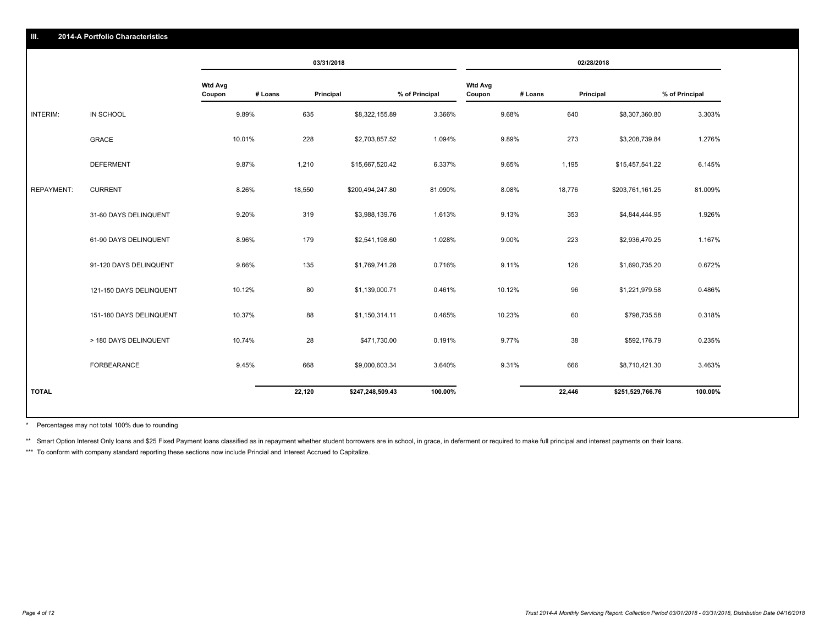|                   |                         |                                     | 03/31/2018 |                  |                |                                     | 02/28/2018 |                  |                |
|-------------------|-------------------------|-------------------------------------|------------|------------------|----------------|-------------------------------------|------------|------------------|----------------|
|                   |                         | <b>Wtd Avg</b><br># Loans<br>Coupon | Principal  |                  | % of Principal | <b>Wtd Avg</b><br># Loans<br>Coupon | Principal  |                  | % of Principal |
| INTERIM:          | IN SCHOOL               | 9.89%                               | 635        | \$8,322,155.89   | 3.366%         | 9.68%                               | 640        | \$8,307,360.80   | 3.303%         |
|                   | GRACE                   | 10.01%                              | 228        | \$2,703,857.52   | 1.094%         | 9.89%                               | 273        | \$3,208,739.84   | 1.276%         |
|                   | <b>DEFERMENT</b>        | 9.87%                               | 1,210      | \$15,667,520.42  | 6.337%         | 9.65%                               | 1,195      | \$15,457,541.22  | 6.145%         |
| <b>REPAYMENT:</b> | <b>CURRENT</b>          | 8.26%                               | 18,550     | \$200,494,247.80 | 81.090%        | 8.08%                               | 18,776     | \$203,761,161.25 | 81.009%        |
|                   | 31-60 DAYS DELINQUENT   | 9.20%                               | 319        | \$3,988,139.76   | 1.613%         | 9.13%                               | 353        | \$4,844,444.95   | 1.926%         |
|                   | 61-90 DAYS DELINQUENT   | 8.96%                               | 179        | \$2,541,198.60   | 1.028%         | 9.00%                               | 223        | \$2,936,470.25   | 1.167%         |
|                   | 91-120 DAYS DELINQUENT  | 9.66%                               | 135        | \$1,769,741.28   | 0.716%         | 9.11%                               | 126        | \$1,690,735.20   | 0.672%         |
|                   | 121-150 DAYS DELINQUENT | 10.12%                              | 80         | \$1,139,000.71   | 0.461%         | 10.12%                              | 96         | \$1,221,979.58   | 0.486%         |
|                   | 151-180 DAYS DELINQUENT | 10.37%                              | 88         | \$1,150,314.11   | 0.465%         | 10.23%                              | 60         | \$798,735.58     | 0.318%         |
|                   | > 180 DAYS DELINQUENT   | 10.74%                              | 28         | \$471,730.00     | 0.191%         | 9.77%                               | 38         | \$592,176.79     | 0.235%         |
|                   | FORBEARANCE             | 9.45%                               | 668        | \$9,000,603.34   | 3.640%         | 9.31%                               | 666        | \$8,710,421.30   | 3.463%         |
| <b>TOTAL</b>      |                         |                                     | 22,120     | \$247,248,509.43 | 100.00%        |                                     | 22,446     | \$251,529,766.76 | 100.00%        |

Percentages may not total 100% due to rounding \*

\*\* Smart Option Interest Only loans and \$25 Fixed Payment loans classified as in repayment whether student borrowers are in school, in grace, in deferment or required to make full principal and interest payments on their l

\*\*\* To conform with company standard reporting these sections now include Princial and Interest Accrued to Capitalize.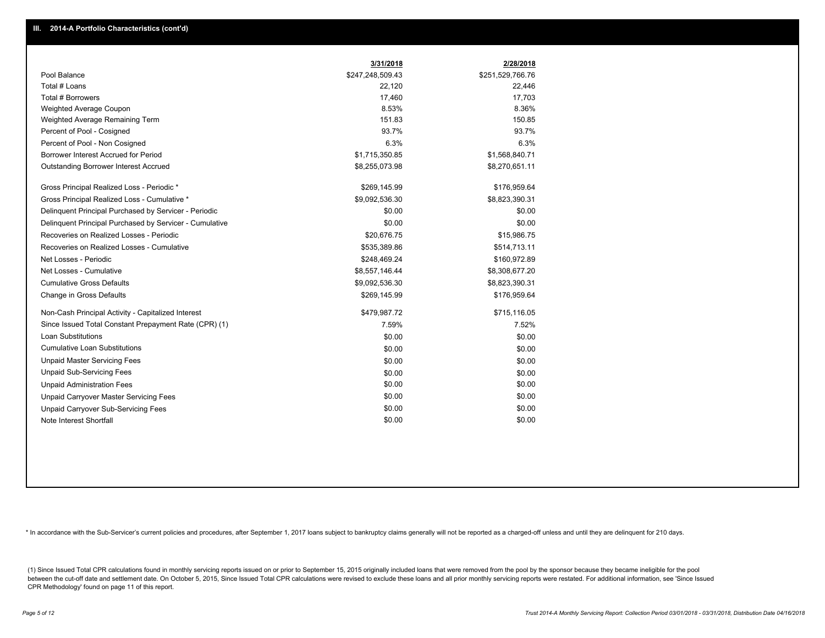|                                                         | 3/31/2018        | 2/28/2018        |
|---------------------------------------------------------|------------------|------------------|
| Pool Balance                                            | \$247,248,509.43 | \$251,529,766.76 |
| Total # Loans                                           | 22,120           | 22,446           |
| Total # Borrowers                                       | 17,460           | 17,703           |
| Weighted Average Coupon                                 | 8.53%            | 8.36%            |
| Weighted Average Remaining Term                         | 151.83           | 150.85           |
| Percent of Pool - Cosigned                              | 93.7%            | 93.7%            |
| Percent of Pool - Non Cosigned                          | 6.3%             | 6.3%             |
| Borrower Interest Accrued for Period                    | \$1,715,350.85   | \$1,568,840.71   |
| <b>Outstanding Borrower Interest Accrued</b>            | \$8,255,073.98   | \$8,270,651.11   |
| Gross Principal Realized Loss - Periodic *              | \$269,145.99     | \$176,959.64     |
| Gross Principal Realized Loss - Cumulative *            | \$9,092,536.30   | \$8,823,390.31   |
| Delinguent Principal Purchased by Servicer - Periodic   | \$0.00           | \$0.00           |
| Delinquent Principal Purchased by Servicer - Cumulative | \$0.00           | \$0.00           |
| Recoveries on Realized Losses - Periodic                | \$20,676.75      | \$15,986.75      |
| Recoveries on Realized Losses - Cumulative              | \$535,389.86     | \$514,713.11     |
| Net Losses - Periodic                                   | \$248,469.24     | \$160,972.89     |
| Net Losses - Cumulative                                 | \$8,557,146.44   | \$8,308,677.20   |
| <b>Cumulative Gross Defaults</b>                        | \$9,092,536.30   | \$8,823,390.31   |
| Change in Gross Defaults                                | \$269,145.99     | \$176,959.64     |
| Non-Cash Principal Activity - Capitalized Interest      | \$479,987.72     | \$715,116.05     |
| Since Issued Total Constant Prepayment Rate (CPR) (1)   | 7.59%            | 7.52%            |
| <b>Loan Substitutions</b>                               | \$0.00           | \$0.00           |
| <b>Cumulative Loan Substitutions</b>                    | \$0.00           | \$0.00           |
| <b>Unpaid Master Servicing Fees</b>                     | \$0.00           | \$0.00           |
| <b>Unpaid Sub-Servicing Fees</b>                        | \$0.00           | \$0.00           |
| <b>Unpaid Administration Fees</b>                       | \$0.00           | \$0.00           |
| <b>Unpaid Carryover Master Servicing Fees</b>           | \$0.00           | \$0.00           |
| <b>Unpaid Carryover Sub-Servicing Fees</b>              | \$0.00           | \$0.00           |
| Note Interest Shortfall                                 | \$0.00           | \$0.00           |

\* In accordance with the Sub-Servicer's current policies and procedures, after September 1, 2017 loans subject to bankruptcy claims generally will not be reported as a charged-off unless and until they are delinquent for 2

(1) Since Issued Total CPR calculations found in monthly servicing reports issued on or prior to September 15, 2015 originally included loans that were removed from the pool by the sponsor because they became ineligible fo between the cut-off date and settlement date. On October 5, 2015, Since Issued Total CPR calculations were revised to exclude these loans and all prior monthly servicing reports were restated. For additional information, s CPR Methodology' found on page 11 of this report.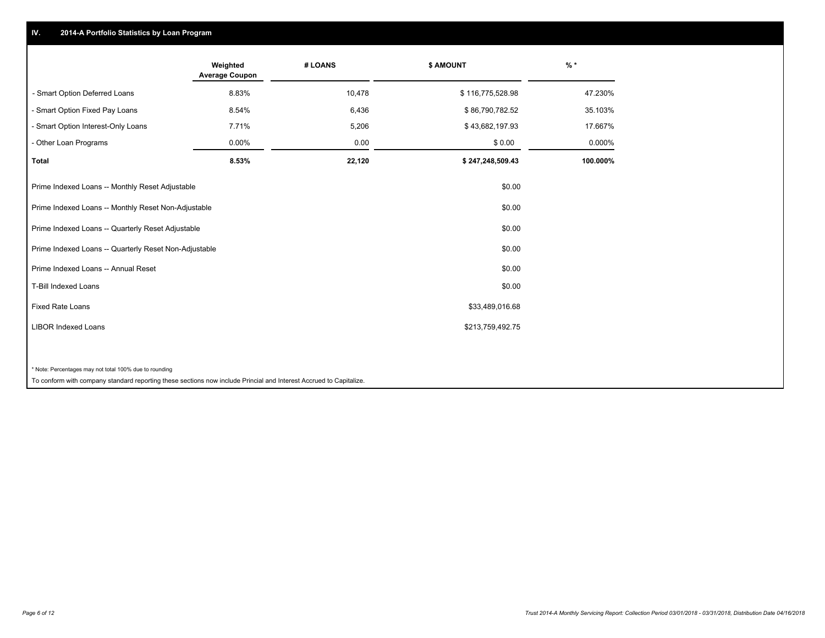# **IV. 2014-A Portfolio Statistics by Loan Program**

|                                                        | Weighted<br><b>Average Coupon</b> | # LOANS | \$ AMOUNT        | $%$ *    |
|--------------------------------------------------------|-----------------------------------|---------|------------------|----------|
| - Smart Option Deferred Loans                          | 8.83%                             | 10,478  | \$116,775,528.98 | 47.230%  |
| - Smart Option Fixed Pay Loans                         | 8.54%                             | 6,436   | \$86,790,782.52  | 35.103%  |
| - Smart Option Interest-Only Loans                     | 7.71%                             | 5,206   | \$43,682,197.93  | 17.667%  |
| - Other Loan Programs                                  | 0.00%                             | 0.00    | \$0.00           | 0.000%   |
| <b>Total</b>                                           | 8.53%                             | 22,120  | \$247,248,509.43 | 100.000% |
| Prime Indexed Loans -- Monthly Reset Adjustable        |                                   |         | \$0.00           |          |
| Prime Indexed Loans -- Monthly Reset Non-Adjustable    |                                   |         | \$0.00           |          |
| Prime Indexed Loans -- Quarterly Reset Adjustable      |                                   |         | \$0.00           |          |
| Prime Indexed Loans -- Quarterly Reset Non-Adjustable  |                                   |         | \$0.00           |          |
| Prime Indexed Loans -- Annual Reset                    |                                   |         | \$0.00           |          |
| T-Bill Indexed Loans                                   |                                   |         | \$0.00           |          |
| <b>Fixed Rate Loans</b>                                |                                   |         | \$33,489,016.68  |          |
| <b>LIBOR Indexed Loans</b>                             |                                   |         | \$213,759,492.75 |          |
|                                                        |                                   |         |                  |          |
| * Note: Percentages may not total 100% due to rounding |                                   |         |                  |          |

To conform with company standard reporting these sections now include Princial and Interest Accrued to Capitalize.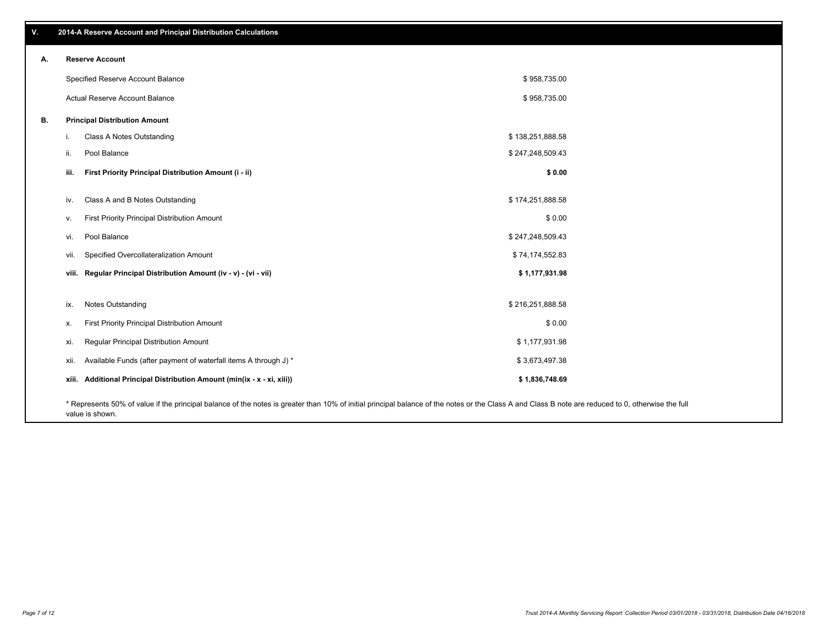**viii. Regular Principal Distribution Amount (iv - v) - (vi - vii) \$ 1,177,931.98** vii. Specified Overcollateralization Amount **by a realistic of the Controllateralization** Amount **\$ 74,174,552.83** vi. Pool Balance \$ 247,248,509.43 v. First Priority Principal Distribution Amount **Amount 3 0.00** Solution 3 and 3 and 3 and 3 and 3 and 3 and 3 and 3 and 3 and 3 and 3 and 3 and 3 and 3 and 3 and 3 and 3 and 3 and 3 and 3 and 3 and 3 and 3 and 3 and 3 and iv. Class A and B Notes Outstanding and the state of the state of the state of the state of the state of the state of the state of the state of the state of the state of the state of the state of the state of the state of **iii. First Priority Principal Distribution Amount (i - ii) \$ 0.00** \$ 958,735.00 \$ 958,735.00 Specified Reserve Account Balance Actual Reserve Account Balance **B. Principal Distribution Amount** i. Class A Notes Outstanding the state of the state of the state of the state of the state of the state of the state of the state of the state of the state of the state of the state of the state of the state of the state o ii. Pool Balance  $$247,248,509.43$ ix. Notes Outstanding \$ 216,251,888.58 x. First Priority Principal Distribution Amount \$ 0.00 xi. Regular Principal Distribution Amount \$ 1,177,931.98 xii. Available Funds (after payment of waterfall items A through J) \* **xiii. Additional Principal Distribution Amount (min(ix - x - xi, xiii)) \$ 1,836,748.69** \$ 3,673,497.38

\* Represents 50% of value if the principal balance of the notes is greater than 10% of initial principal balance of the notes or the Class A and Class B note are reduced to 0, otherwise the full value is shown.

**A. Reserve Account**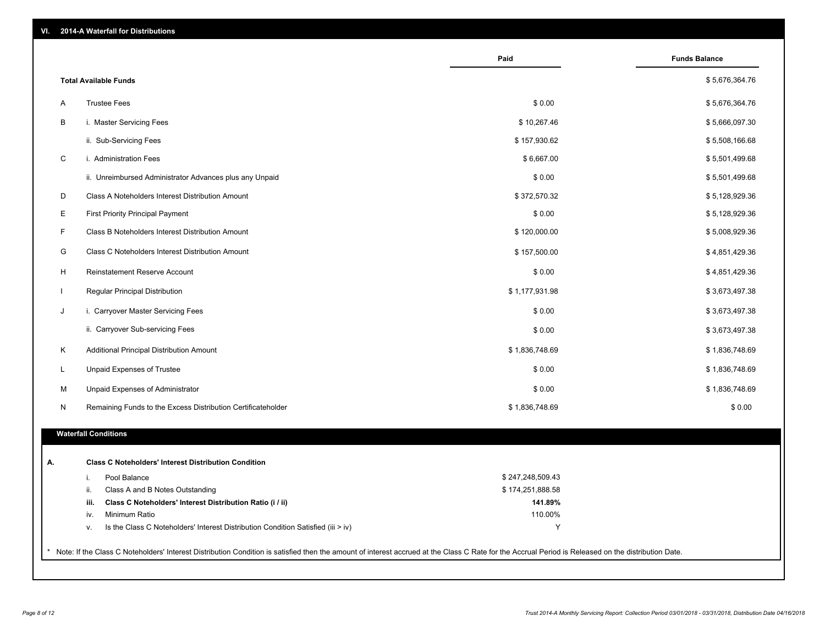| VI. |  |  | 2014-A Waterfall for Distributions |
|-----|--|--|------------------------------------|
|-----|--|--|------------------------------------|

|                                                       |                                                                                  | Paid             | <b>Funds Balance</b> |
|-------------------------------------------------------|----------------------------------------------------------------------------------|------------------|----------------------|
| <b>Total Available Funds</b>                          |                                                                                  |                  | \$5,676,364.76       |
| <b>Trustee Fees</b><br>A                              |                                                                                  | \$0.00           | \$5,676,364.76       |
| B<br>i. Master Servicing Fees                         |                                                                                  | \$10,267.46      | \$5,666,097.30       |
| ii. Sub-Servicing Fees                                |                                                                                  | \$157,930.62     | \$5,508,166.68       |
| C<br>i. Administration Fees                           |                                                                                  | \$6,667.00       | \$5,501,499.68       |
|                                                       | ii. Unreimbursed Administrator Advances plus any Unpaid                          | \$0.00           | \$5,501,499.68       |
| D<br>Class A Noteholders Interest Distribution Amount |                                                                                  | \$372,570.32     | \$5,128,929.36       |
| Е<br><b>First Priority Principal Payment</b>          |                                                                                  | \$0.00           | \$5,128,929.36       |
| F<br>Class B Noteholders Interest Distribution Amount |                                                                                  | \$120,000.00     | \$5,008,929.36       |
| G<br>Class C Noteholders Interest Distribution Amount |                                                                                  | \$157,500.00     | \$4,851,429.36       |
| H<br>Reinstatement Reserve Account                    |                                                                                  | \$0.00           | \$4,851,429.36       |
| $\mathbf{I}$<br>Regular Principal Distribution        |                                                                                  | \$1,177,931.98   | \$3,673,497.38       |
| J<br>i. Carryover Master Servicing Fees               |                                                                                  | \$0.00           | \$3,673,497.38       |
| ii. Carryover Sub-servicing Fees                      |                                                                                  | \$0.00           | \$3,673,497.38       |
| Κ<br>Additional Principal Distribution Amount         |                                                                                  | \$1,836,748.69   | \$1,836,748.69       |
| L<br>Unpaid Expenses of Trustee                       |                                                                                  | \$0.00           | \$1,836,748.69       |
| м<br>Unpaid Expenses of Administrator                 |                                                                                  | \$0.00           | \$1,836,748.69       |
| N                                                     | Remaining Funds to the Excess Distribution Certificateholder                     | \$1,836,748.69   | \$0.00               |
|                                                       |                                                                                  |                  |                      |
| <b>Waterfall Conditions</b>                           |                                                                                  |                  |                      |
|                                                       | <b>Class C Noteholders' Interest Distribution Condition</b>                      |                  |                      |
| Pool Balance<br>i.                                    |                                                                                  | \$247,248,509.43 |                      |
| Class A and B Notes Outstanding<br>ii.                |                                                                                  | \$174,251,888.58 |                      |
| iii.                                                  | Class C Noteholders' Interest Distribution Ratio (i / ii)                        | 141.89%          |                      |
| iv.<br>Minimum Ratio                                  |                                                                                  | 110.00%          |                      |
| v.                                                    | Is the Class C Noteholders' Interest Distribution Condition Satisfied (iii > iv) | Y                |                      |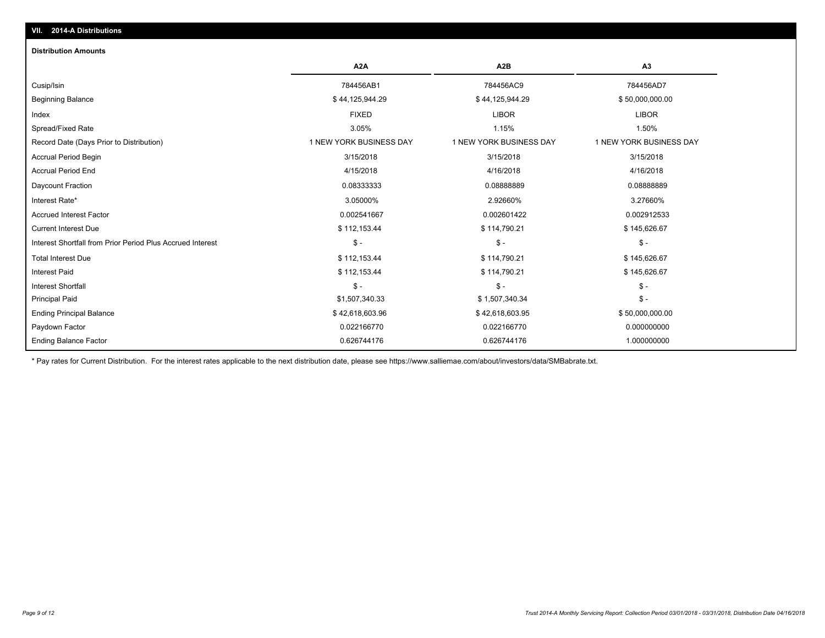| <b>Distribution Amounts</b>                                |                         |                         |                         |
|------------------------------------------------------------|-------------------------|-------------------------|-------------------------|
|                                                            | A <sub>2</sub> A        | A2B                     | A3                      |
| Cusip/Isin                                                 | 784456AB1               | 784456AC9               | 784456AD7               |
| <b>Beginning Balance</b>                                   | \$44,125,944.29         | \$44,125,944.29         | \$50,000,000.00         |
| Index                                                      | <b>FIXED</b>            | <b>LIBOR</b>            | <b>LIBOR</b>            |
| Spread/Fixed Rate                                          | 3.05%                   | 1.15%                   | 1.50%                   |
| Record Date (Days Prior to Distribution)                   | 1 NEW YORK BUSINESS DAY | 1 NEW YORK BUSINESS DAY | 1 NEW YORK BUSINESS DAY |
| <b>Accrual Period Begin</b>                                | 3/15/2018               | 3/15/2018               | 3/15/2018               |
| <b>Accrual Period End</b>                                  | 4/15/2018               | 4/16/2018               | 4/16/2018               |
| Daycount Fraction                                          | 0.08333333              | 0.0888889               | 0.08888889              |
| Interest Rate*                                             | 3.05000%                | 2.92660%                | 3.27660%                |
| <b>Accrued Interest Factor</b>                             | 0.002541667             | 0.002601422             | 0.002912533             |
| <b>Current Interest Due</b>                                | \$112,153.44            | \$114,790.21            | \$145,626.67            |
| Interest Shortfall from Prior Period Plus Accrued Interest | $\mathsf{\$}$ -         | $\mathsf{\$}$ -         | $\mathsf{\$}$ -         |
| <b>Total Interest Due</b>                                  | \$112,153.44            | \$114,790.21            | \$145,626.67            |
| <b>Interest Paid</b>                                       | \$112,153.44            | \$114,790.21            | \$145,626.67            |
| <b>Interest Shortfall</b>                                  | $S -$                   | $$ -$                   | $\mathsf{\$}$ -         |
| <b>Principal Paid</b>                                      | \$1,507,340.33          | \$1,507,340.34          | $S -$                   |
| <b>Ending Principal Balance</b>                            | \$42,618,603.96         | \$42,618,603.95         | \$50,000,000.00         |
| Paydown Factor                                             | 0.022166770             | 0.022166770             | 0.000000000             |
| <b>Ending Balance Factor</b>                               | 0.626744176             | 0.626744176             | 1.000000000             |

\* Pay rates for Current Distribution. For the interest rates applicable to the next distribution date, please see https://www.salliemae.com/about/investors/data/SMBabrate.txt.

**VII. 2014-A Distributions**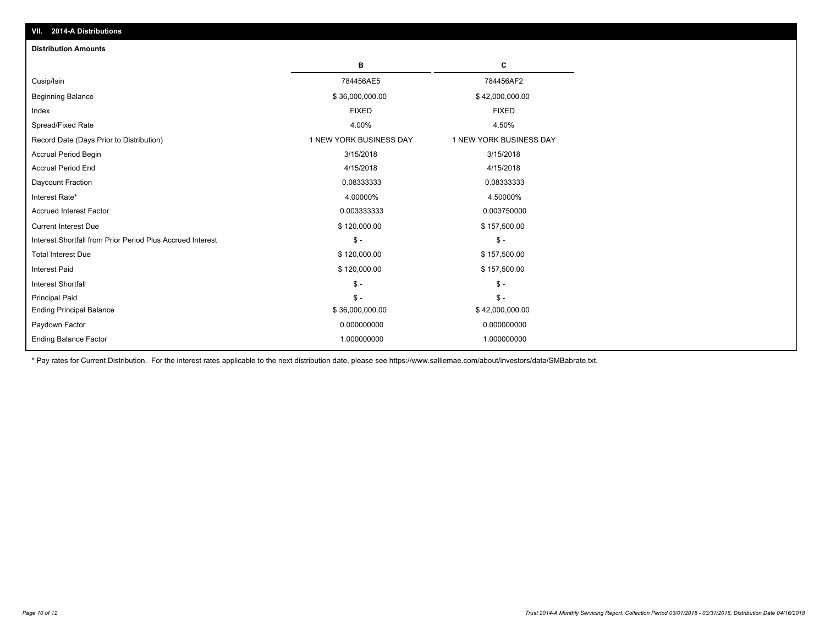| <b>Distribution Amounts</b>                                |                         |                         |
|------------------------------------------------------------|-------------------------|-------------------------|
|                                                            | в                       | C                       |
| Cusip/Isin                                                 | 784456AE5               | 784456AF2               |
| <b>Beginning Balance</b>                                   | \$36,000,000.00         | \$42,000,000.00         |
| Index                                                      | <b>FIXED</b>            | <b>FIXED</b>            |
| Spread/Fixed Rate                                          | 4.00%                   | 4.50%                   |
| Record Date (Days Prior to Distribution)                   | 1 NEW YORK BUSINESS DAY | 1 NEW YORK BUSINESS DAY |
| <b>Accrual Period Begin</b>                                | 3/15/2018               | 3/15/2018               |
| <b>Accrual Period End</b>                                  | 4/15/2018               | 4/15/2018               |
| Daycount Fraction                                          | 0.08333333              | 0.08333333              |
| Interest Rate*                                             | 4.00000%                | 4.50000%                |
| <b>Accrued Interest Factor</b>                             | 0.003333333             | 0.003750000             |
| <b>Current Interest Due</b>                                | \$120,000.00            | \$157,500.00            |
| Interest Shortfall from Prior Period Plus Accrued Interest | $\mathbb{S}$ -          | $S -$                   |
| <b>Total Interest Due</b>                                  | \$120,000.00            | \$157,500.00            |
| <b>Interest Paid</b>                                       | \$120,000.00            | \$157,500.00            |
| <b>Interest Shortfall</b>                                  | $\mathbb{S}$ -          | $S -$                   |
| <b>Principal Paid</b>                                      | $\mathbb{S}$ -          | $S -$                   |
| <b>Ending Principal Balance</b>                            | \$36,000,000.00         | \$42,000,000.00         |
| Paydown Factor                                             | 0.000000000             | 0.000000000             |
| <b>Ending Balance Factor</b>                               | 1.000000000             | 1.000000000             |

\* Pay rates for Current Distribution. For the interest rates applicable to the next distribution date, please see https://www.salliemae.com/about/investors/data/SMBabrate.txt.

**VII. 2014-A Distributions**